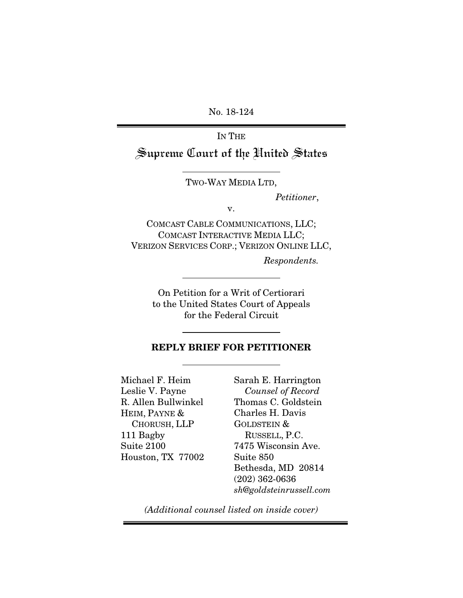No. 18-124

IN THE

Supreme Court of the United States

TWO-WAY MEDIA LTD,

*Petitioner*,

v.

COMCAST CABLE COMMUNICATIONS, LLC; COMCAST INTERACTIVE MEDIA LLC; VERIZON SERVICES CORP.; VERIZON ONLINE LLC,

*Respondents.* 

On Petition for a Writ of Certiorari to the United States Court of Appeals for the Federal Circuit

#### REPLY BRIEF FOR PETITIONER

Michael F. Heim Leslie V. Payne R. Allen Bullwinkel HEIM, PAYNE & CHORUSH, LLP 111 Bagby Suite 2100 Houston, TX 77002

Sarah E. Harrington *Counsel of Record*  Thomas C. Goldstein Charles H. Davis GOLDSTEIN & RUSSELL, P.C. 7475 Wisconsin Ave. Suite 850 Bethesda, MD 20814 (202) 362-0636 *sh@goldsteinrussell.com*

*(Additional counsel listed on inside cover)*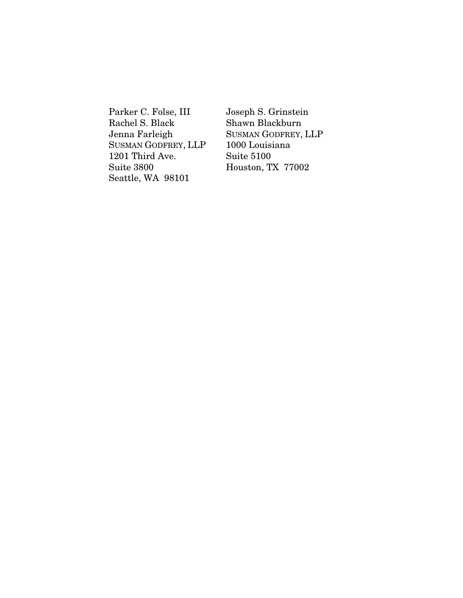Parker C. Folse, III Rachel S. Black Jenna Farleigh SUSMAN GODFREY, LLP 1201 Third Ave. Suite 3800 Seattle, WA 98101

Joseph S. Grinstein Shawn Blackburn SUSMAN GODFREY, LLP 1000 Louisiana Suite 5100 Houston, TX 77002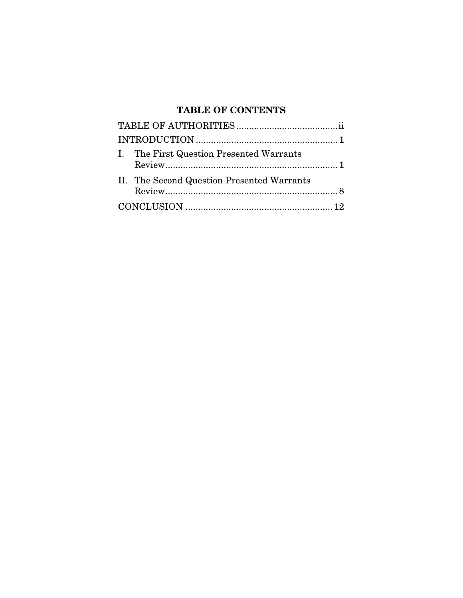# TABLE OF CONTENTS

| I. The First Question Presented Warrants   |
|--------------------------------------------|
| II. The Second Question Presented Warrants |
|                                            |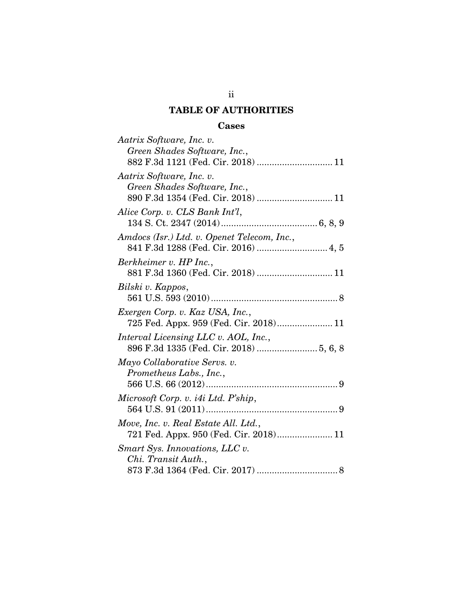## TABLE OF AUTHORITIES

### Cases

| Aatrix Software, Inc. v.                    |
|---------------------------------------------|
| Green Shades Software, Inc.,                |
| 882 F.3d 1121 (Fed. Cir. 2018)  11          |
| Aatrix Software, Inc. v.                    |
| Green Shades Software, Inc.,                |
| 890 F.3d 1354 (Fed. Cir. 2018)  11          |
| Alice Corp. v. CLS Bank Int'l,              |
|                                             |
| Amdocs (Isr.) Ltd. v. Openet Telecom, Inc., |
| 841 F.3d 1288 (Fed. Cir. 2016)  4, 5        |
| Berkheimer v. HP Inc.,                      |
| 881 F.3d 1360 (Fed. Cir. 2018)  11          |
| Bilski v. Kappos,                           |
|                                             |
| Exergen Corp. v. Kaz USA, Inc.,             |
| 725 Fed. Appx. 959 (Fed. Cir. 2018) 11      |
| Interval Licensing LLC v. AOL, Inc.,        |
| 896 F.3d 1335 (Fed. Cir. 2018)  5, 6, 8     |
| Mayo Collaborative Servs. v.                |
| Prometheus Labs., Inc.,                     |
|                                             |
| Microsoft Corp. v. i4i Ltd. P'ship,         |
|                                             |
| Move, Inc. v. Real Estate All. Ltd.,        |
| 721 Fed. Appx. 950 (Fed. Cir. 2018) 11      |
| Smart Sys. Innovations, LLC v.              |
| Chi. Transit Auth.,                         |
|                                             |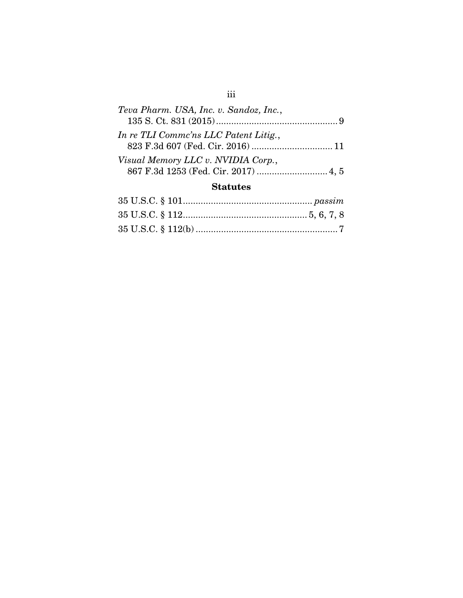| Teva Pharm. USA, Inc. v. Sandoz, Inc., |  |
|----------------------------------------|--|
|                                        |  |
| In re TLI Comme'ns LLC Patent Litig.,  |  |
|                                        |  |
| Visual Memory LLC v. NVIDIA Corp.,     |  |
|                                        |  |

## **Statutes**

iii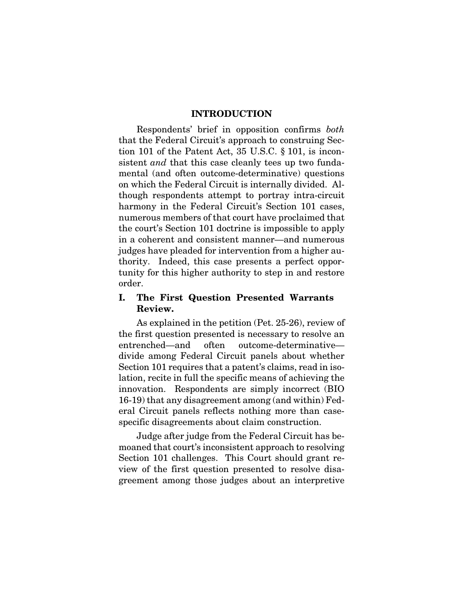#### INTRODUCTION

Respondents' brief in opposition confirms *both* that the Federal Circuit's approach to construing Section 101 of the Patent Act, 35 U.S.C. § 101, is inconsistent *and* that this case cleanly tees up two fundamental (and often outcome-determinative) questions on which the Federal Circuit is internally divided. Although respondents attempt to portray intra-circuit harmony in the Federal Circuit's Section 101 cases, numerous members of that court have proclaimed that the court's Section 101 doctrine is impossible to apply in a coherent and consistent manner—and numerous judges have pleaded for intervention from a higher authority. Indeed, this case presents a perfect opportunity for this higher authority to step in and restore order.

### I. The First Question Presented Warrants Review.

As explained in the petition (Pet. 25-26), review of the first question presented is necessary to resolve an entrenched—and often outcome-determinative divide among Federal Circuit panels about whether Section 101 requires that a patent's claims, read in isolation, recite in full the specific means of achieving the innovation. Respondents are simply incorrect (BIO 16-19) that any disagreement among (and within) Federal Circuit panels reflects nothing more than casespecific disagreements about claim construction.

Judge after judge from the Federal Circuit has bemoaned that court's inconsistent approach to resolving Section 101 challenges. This Court should grant review of the first question presented to resolve disagreement among those judges about an interpretive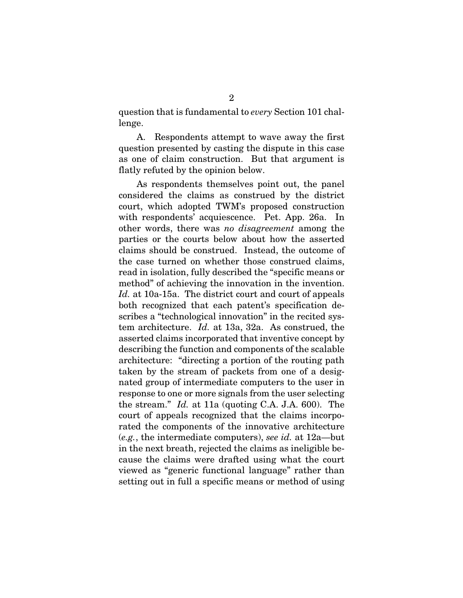question that is fundamental to *every* Section 101 challenge.

A. Respondents attempt to wave away the first question presented by casting the dispute in this case as one of claim construction. But that argument is flatly refuted by the opinion below.

As respondents themselves point out, the panel considered the claims as construed by the district court, which adopted TWM's proposed construction with respondents' acquiescence. Pet. App. 26a. In other words, there was *no disagreement* among the parties or the courts below about how the asserted claims should be construed. Instead, the outcome of the case turned on whether those construed claims, read in isolation, fully described the "specific means or method" of achieving the innovation in the invention. *Id.* at 10a-15a. The district court and court of appeals both recognized that each patent's specification describes a "technological innovation" in the recited system architecture. *Id.* at 13a, 32a. As construed, the asserted claims incorporated that inventive concept by describing the function and components of the scalable architecture: "directing a portion of the routing path taken by the stream of packets from one of a designated group of intermediate computers to the user in response to one or more signals from the user selecting the stream." *Id.* at 11a (quoting C.A. J.A. 600). The court of appeals recognized that the claims incorporated the components of the innovative architecture (*e.g.*, the intermediate computers), *see id.* at 12a—but in the next breath, rejected the claims as ineligible because the claims were drafted using what the court viewed as "generic functional language" rather than setting out in full a specific means or method of using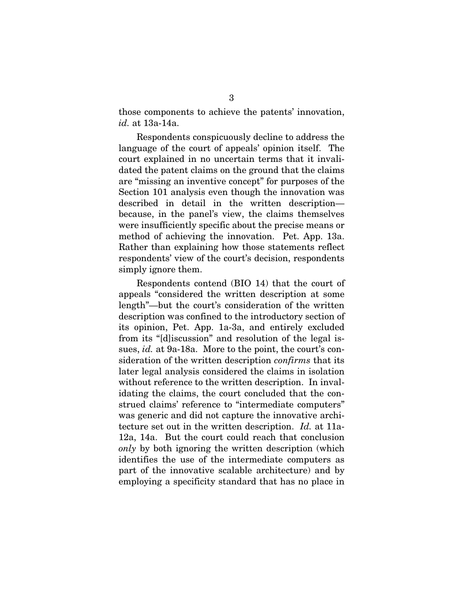those components to achieve the patents' innovation, *id.* at 13a-14a.

Respondents conspicuously decline to address the language of the court of appeals' opinion itself. The court explained in no uncertain terms that it invalidated the patent claims on the ground that the claims are "missing an inventive concept" for purposes of the Section 101 analysis even though the innovation was described in detail in the written description because, in the panel's view, the claims themselves were insufficiently specific about the precise means or method of achieving the innovation. Pet. App. 13a. Rather than explaining how those statements reflect respondents' view of the court's decision, respondents simply ignore them.

Respondents contend (BIO 14) that the court of appeals "considered the written description at some length"—but the court's consideration of the written description was confined to the introductory section of its opinion, Pet. App. 1a-3a, and entirely excluded from its "[d]iscussion" and resolution of the legal issues, *id.* at 9a-18a. More to the point, the court's consideration of the written description *confirms* that its later legal analysis considered the claims in isolation without reference to the written description. In invalidating the claims, the court concluded that the construed claims' reference to "intermediate computers" was generic and did not capture the innovative architecture set out in the written description. *Id.* at 11a-12a, 14a. But the court could reach that conclusion *only* by both ignoring the written description (which identifies the use of the intermediate computers as part of the innovative scalable architecture) and by employing a specificity standard that has no place in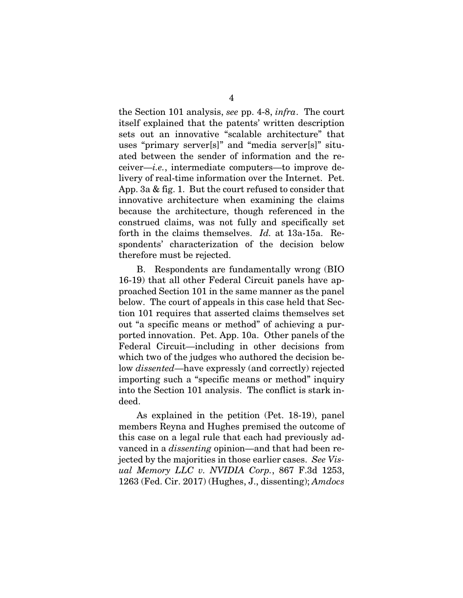the Section 101 analysis, *see* pp. 4-8, *infra*. The court itself explained that the patents' written description sets out an innovative "scalable architecture" that uses "primary server[s]" and "media server[s]" situated between the sender of information and the receiver—*i.e.*, intermediate computers—to improve delivery of real-time information over the Internet. Pet. App. 3a & fig. 1. But the court refused to consider that innovative architecture when examining the claims because the architecture, though referenced in the construed claims, was not fully and specifically set forth in the claims themselves. *Id.* at 13a-15a. Respondents' characterization of the decision below therefore must be rejected.

B. Respondents are fundamentally wrong (BIO 16-19) that all other Federal Circuit panels have approached Section 101 in the same manner as the panel below. The court of appeals in this case held that Section 101 requires that asserted claims themselves set out "a specific means or method" of achieving a purported innovation. Pet. App. 10a. Other panels of the Federal Circuit—including in other decisions from which two of the judges who authored the decision below *dissented*—have expressly (and correctly) rejected importing such a "specific means or method" inquiry into the Section 101 analysis. The conflict is stark indeed.

As explained in the petition (Pet. 18-19), panel members Reyna and Hughes premised the outcome of this case on a legal rule that each had previously advanced in a *dissenting* opinion—and that had been rejected by the majorities in those earlier cases. *See Visual Memory LLC v. NVIDIA Corp.*, 867 F.3d 1253, 1263 (Fed. Cir. 2017) (Hughes, J., dissenting); *Amdocs*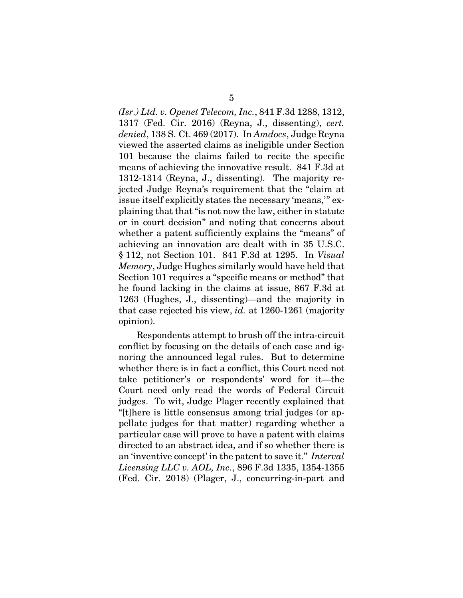*(Isr.) Ltd. v. Openet Telecom, Inc.*, 841 F.3d 1288, 1312, 1317 (Fed. Cir. 2016) (Reyna, J., dissenting), *cert. denied*, 138 S. Ct. 469 (2017). In *Amdocs*, Judge Reyna viewed the asserted claims as ineligible under Section 101 because the claims failed to recite the specific means of achieving the innovative result. 841 F.3d at 1312-1314 (Reyna, J., dissenting). The majority rejected Judge Reyna's requirement that the "claim at issue itself explicitly states the necessary 'means,'" explaining that that "is not now the law, either in statute or in court decision" and noting that concerns about whether a patent sufficiently explains the "means" of achieving an innovation are dealt with in 35 U.S.C. § 112, not Section 101. 841 F.3d at 1295. In *Visual Memory*, Judge Hughes similarly would have held that Section 101 requires a "specific means or method" that he found lacking in the claims at issue, 867 F.3d at 1263 (Hughes, J., dissenting)—and the majority in that case rejected his view, *id.* at 1260-1261 (majority opinion).

Respondents attempt to brush off the intra-circuit conflict by focusing on the details of each case and ignoring the announced legal rules. But to determine whether there is in fact a conflict, this Court need not take petitioner's or respondents' word for it—the Court need only read the words of Federal Circuit judges. To wit, Judge Plager recently explained that "[t]here is little consensus among trial judges (or appellate judges for that matter) regarding whether a particular case will prove to have a patent with claims directed to an abstract idea, and if so whether there is an 'inventive concept' in the patent to save it." *Interval Licensing LLC v. AOL, Inc.*, 896 F.3d 1335, 1354-1355 (Fed. Cir. 2018) (Plager, J., concurring-in-part and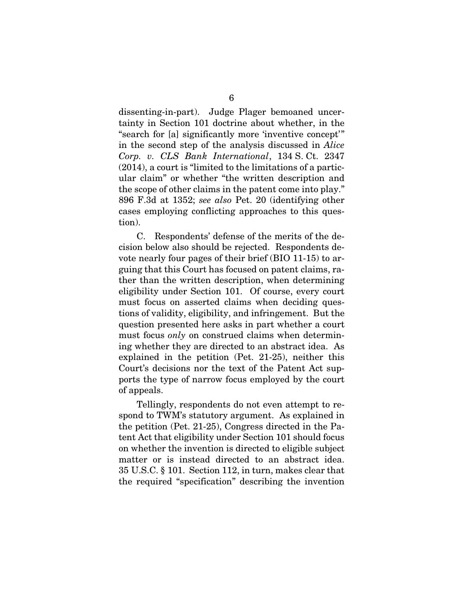dissenting-in-part). Judge Plager bemoaned uncertainty in Section 101 doctrine about whether, in the "search for [a] significantly more 'inventive concept'" in the second step of the analysis discussed in *Alice Corp. v. CLS Bank International*, 134 S. Ct. 2347 (2014), a court is "limited to the limitations of a particular claim" or whether "the written description and the scope of other claims in the patent come into play." 896 F.3d at 1352; *see also* Pet. 20 (identifying other cases employing conflicting approaches to this question).

C. Respondents' defense of the merits of the decision below also should be rejected. Respondents devote nearly four pages of their brief (BIO 11-15) to arguing that this Court has focused on patent claims, rather than the written description, when determining eligibility under Section 101. Of course, every court must focus on asserted claims when deciding questions of validity, eligibility, and infringement. But the question presented here asks in part whether a court must focus *only* on construed claims when determining whether they are directed to an abstract idea. As explained in the petition (Pet. 21-25), neither this Court's decisions nor the text of the Patent Act supports the type of narrow focus employed by the court of appeals.

Tellingly, respondents do not even attempt to respond to TWM's statutory argument. As explained in the petition (Pet. 21-25), Congress directed in the Patent Act that eligibility under Section 101 should focus on whether the invention is directed to eligible subject matter or is instead directed to an abstract idea. 35 U.S.C. § 101. Section 112, in turn, makes clear that the required "specification" describing the invention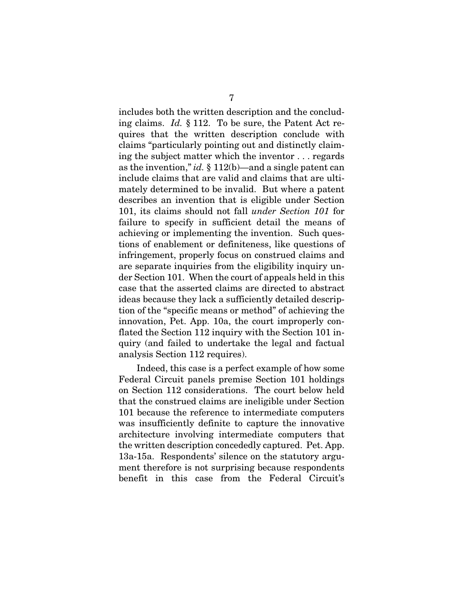includes both the written description and the concluding claims. *Id.* § 112. To be sure, the Patent Act requires that the written description conclude with claims "particularly pointing out and distinctly claiming the subject matter which the inventor . . . regards as the invention," *id.* § 112(b)—and a single patent can include claims that are valid and claims that are ultimately determined to be invalid. But where a patent describes an invention that is eligible under Section 101, its claims should not fall *under Section 101* for failure to specify in sufficient detail the means of achieving or implementing the invention. Such questions of enablement or definiteness, like questions of infringement, properly focus on construed claims and are separate inquiries from the eligibility inquiry under Section 101. When the court of appeals held in this case that the asserted claims are directed to abstract ideas because they lack a sufficiently detailed description of the "specific means or method" of achieving the innovation, Pet. App. 10a, the court improperly conflated the Section 112 inquiry with the Section 101 inquiry (and failed to undertake the legal and factual analysis Section 112 requires).

Indeed, this case is a perfect example of how some Federal Circuit panels premise Section 101 holdings on Section 112 considerations. The court below held that the construed claims are ineligible under Section 101 because the reference to intermediate computers was insufficiently definite to capture the innovative architecture involving intermediate computers that the written description concededly captured. Pet. App. 13a-15a. Respondents' silence on the statutory argument therefore is not surprising because respondents benefit in this case from the Federal Circuit's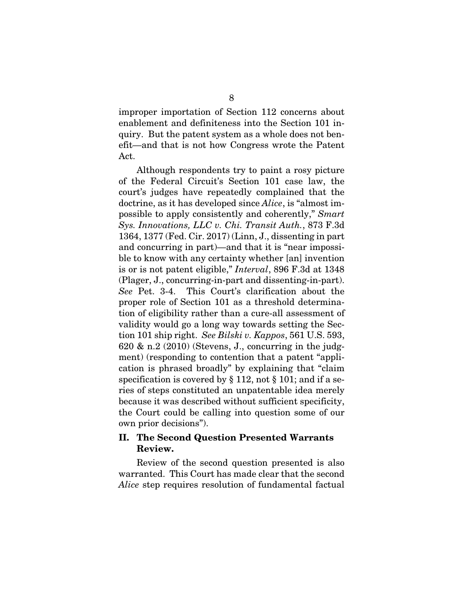improper importation of Section 112 concerns about enablement and definiteness into the Section 101 inquiry. But the patent system as a whole does not benefit—and that is not how Congress wrote the Patent Act.

Although respondents try to paint a rosy picture of the Federal Circuit's Section 101 case law, the court's judges have repeatedly complained that the doctrine, as it has developed since *Alice*, is "almost impossible to apply consistently and coherently," *Smart Sys. Innovations, LLC v. Chi. Transit Auth.*, 873 F.3d 1364, 1377 (Fed. Cir. 2017) (Linn, J., dissenting in part and concurring in part)—and that it is "near impossible to know with any certainty whether [an] invention is or is not patent eligible," *Interval*, 896 F.3d at 1348 (Plager, J., concurring-in-part and dissenting-in-part). *See* Pet. 3-4. This Court's clarification about the proper role of Section 101 as a threshold determination of eligibility rather than a cure-all assessment of validity would go a long way towards setting the Section 101 ship right. *See Bilski v. Kappos*, 561 U.S. 593,  $620 \& n.2$  (2010) (Stevens, J., concurring in the judgment) (responding to contention that a patent "application is phrased broadly" by explaining that "claim specification is covered by § 112, not § 101; and if a series of steps constituted an unpatentable idea merely because it was described without sufficient specificity, the Court could be calling into question some of our own prior decisions").

### II. The Second Question Presented Warrants Review.

Review of the second question presented is also warranted. This Court has made clear that the second *Alice* step requires resolution of fundamental factual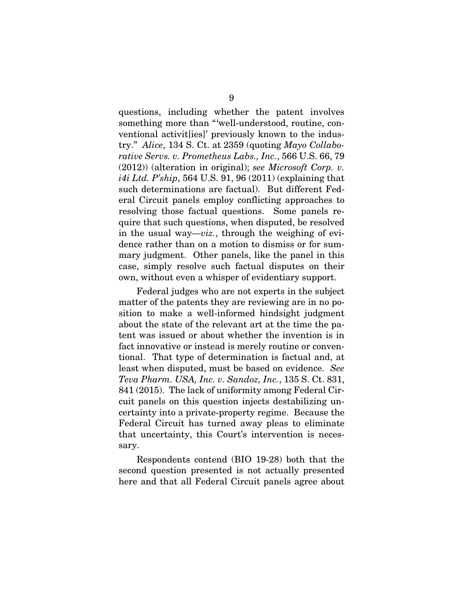questions, including whether the patent involves something more than "'well-understood, routine, conventional activit[ies]' previously known to the industry." *Alice*, 134 S. Ct. at 2359 (quoting *Mayo Collaborative Servs. v. Prometheus Labs., Inc.*, 566 U.S. 66, 79 (2012)) (alteration in original); *see Microsoft Corp. v. i4i Ltd. P'ship*, 564 U.S. 91, 96 (2011) (explaining that such determinations are factual). But different Federal Circuit panels employ conflicting approaches to resolving those factual questions. Some panels require that such questions, when disputed, be resolved in the usual way—*viz.*, through the weighing of evidence rather than on a motion to dismiss or for summary judgment. Other panels, like the panel in this case, simply resolve such factual disputes on their own, without even a whisper of evidentiary support.

Federal judges who are not experts in the subject matter of the patents they are reviewing are in no position to make a well-informed hindsight judgment about the state of the relevant art at the time the patent was issued or about whether the invention is in fact innovative or instead is merely routine or conventional. That type of determination is factual and, at least when disputed, must be based on evidence. *See Teva Pharm. USA, Inc. v. Sandoz, Inc.*, 135 S. Ct. 831, 841 (2015). The lack of uniformity among Federal Circuit panels on this question injects destabilizing uncertainty into a private-property regime. Because the Federal Circuit has turned away pleas to eliminate that uncertainty, this Court's intervention is necessary.

Respondents contend (BIO 19-28) both that the second question presented is not actually presented here and that all Federal Circuit panels agree about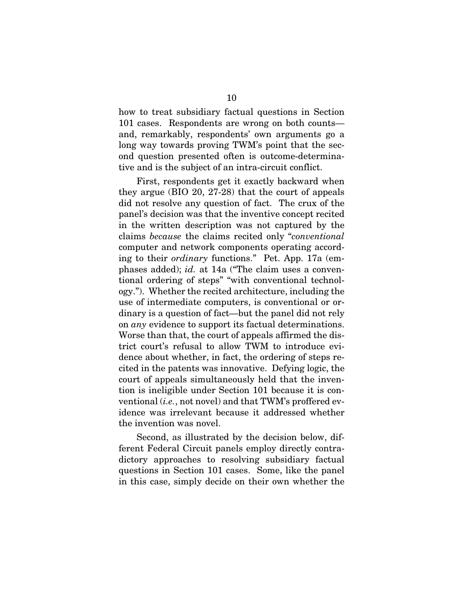how to treat subsidiary factual questions in Section 101 cases. Respondents are wrong on both counts and, remarkably, respondents' own arguments go a long way towards proving TWM's point that the second question presented often is outcome-determinative and is the subject of an intra-circuit conflict.

First, respondents get it exactly backward when they argue (BIO 20, 27-28) that the court of appeals did not resolve any question of fact. The crux of the panel's decision was that the inventive concept recited in the written description was not captured by the claims *because* the claims recited only "*conventional* computer and network components operating according to their *ordinary* functions." Pet. App. 17a (emphases added); *id.* at 14a ("The claim uses a conventional ordering of steps" "with conventional technology."). Whether the recited architecture, including the use of intermediate computers, is conventional or ordinary is a question of fact—but the panel did not rely on *any* evidence to support its factual determinations. Worse than that, the court of appeals affirmed the district court's refusal to allow TWM to introduce evidence about whether, in fact, the ordering of steps recited in the patents was innovative. Defying logic, the court of appeals simultaneously held that the invention is ineligible under Section 101 because it is conventional (*i.e.*, not novel) and that TWM's proffered evidence was irrelevant because it addressed whether the invention was novel.

Second, as illustrated by the decision below, different Federal Circuit panels employ directly contradictory approaches to resolving subsidiary factual questions in Section 101 cases. Some, like the panel in this case, simply decide on their own whether the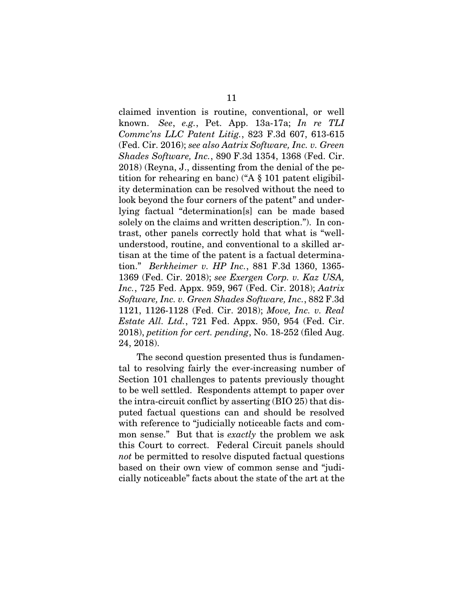claimed invention is routine, conventional, or well known. *See*, *e.g.*, Pet. App. 13a-17a; *In re TLI Commc'ns LLC Patent Litig.*, 823 F.3d 607, 613-615 (Fed. Cir. 2016); *see also Aatrix Software, Inc. v. Green Shades Software, Inc.*, 890 F.3d 1354, 1368 (Fed. Cir. 2018) (Reyna, J., dissenting from the denial of the petition for rehearing en banc) ("A § 101 patent eligibility determination can be resolved without the need to look beyond the four corners of the patent" and underlying factual "determination[s] can be made based solely on the claims and written description."). In contrast, other panels correctly hold that what is "wellunderstood, routine, and conventional to a skilled artisan at the time of the patent is a factual determination." *Berkheimer v. HP Inc.*, 881 F.3d 1360, 1365- 1369 (Fed. Cir. 2018); *see Exergen Corp. v. Kaz USA, Inc.*, 725 Fed. Appx. 959, 967 (Fed. Cir. 2018); *Aatrix Software, Inc. v. Green Shades Software, Inc.*, 882 F.3d 1121, 1126-1128 (Fed. Cir. 2018); *Move, Inc. v. Real Estate All. Ltd.*, 721 Fed. Appx. 950, 954 (Fed. Cir. 2018), *petition for cert. pending*, No. 18-252 (filed Aug. 24, 2018).

The second question presented thus is fundamental to resolving fairly the ever-increasing number of Section 101 challenges to patents previously thought to be well settled. Respondents attempt to paper over the intra-circuit conflict by asserting (BIO 25) that disputed factual questions can and should be resolved with reference to "judicially noticeable facts and common sense." But that is *exactly* the problem we ask this Court to correct. Federal Circuit panels should *not* be permitted to resolve disputed factual questions based on their own view of common sense and "judicially noticeable" facts about the state of the art at the